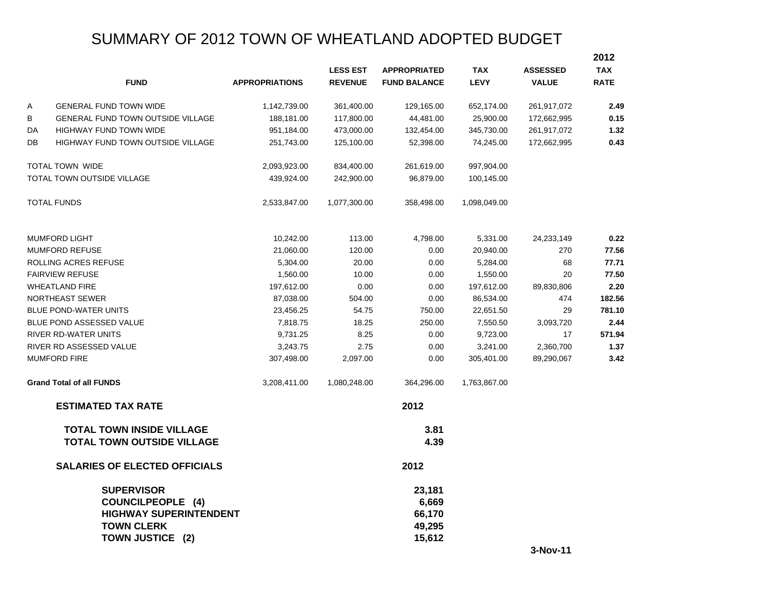# SUMMARY OF 2012 TOWN OF WHEATLAND ADOPTED BUDGET

|    |                                                                                                                         |                       |                 |                                               |              |                 | 2012        |
|----|-------------------------------------------------------------------------------------------------------------------------|-----------------------|-----------------|-----------------------------------------------|--------------|-----------------|-------------|
|    |                                                                                                                         |                       | <b>LESS EST</b> | <b>APPROPRIATED</b>                           | <b>TAX</b>   | <b>ASSESSED</b> | <b>TAX</b>  |
|    | <b>FUND</b>                                                                                                             | <b>APPROPRIATIONS</b> | <b>REVENUE</b>  | <b>FUND BALANCE</b>                           | <b>LEVY</b>  | <b>VALUE</b>    | <b>RATE</b> |
| Α  | <b>GENERAL FUND TOWN WIDE</b>                                                                                           | 1,142,739.00          | 361,400.00      | 129,165.00                                    | 652,174.00   | 261,917,072     | 2.49        |
| В  | GENERAL FUND TOWN OUTSIDE VILLAGE                                                                                       | 188,181.00            | 117,800.00      | 44,481.00                                     | 25,900.00    | 172,662,995     | 0.15        |
| DA | HIGHWAY FUND TOWN WIDE                                                                                                  | 951,184.00            | 473,000.00      | 132,454.00                                    | 345,730.00   | 261,917,072     | 1.32        |
| DB | <b>HIGHWAY FUND TOWN OUTSIDE VILLAGE</b>                                                                                | 251,743.00            | 125,100.00      | 52,398.00                                     | 74,245.00    | 172,662,995     | 0.43        |
|    | TOTAL TOWN WIDE                                                                                                         | 2,093,923.00          | 834,400.00      | 261,619.00                                    | 997,904.00   |                 |             |
|    | TOTAL TOWN OUTSIDE VILLAGE                                                                                              | 439,924.00            | 242,900.00      | 96,879.00                                     | 100,145.00   |                 |             |
|    | <b>TOTAL FUNDS</b>                                                                                                      | 2,533,847.00          | 1,077,300.00    | 358,498.00                                    | 1,098,049.00 |                 |             |
|    | <b>MUMFORD LIGHT</b>                                                                                                    | 10,242.00             | 113.00          | 4,798.00                                      | 5,331.00     | 24,233,149      | 0.22        |
|    | <b>MUMFORD REFUSE</b>                                                                                                   | 21,060.00             | 120.00          | 0.00                                          | 20,940.00    | 270             | 77.56       |
|    | ROLLING ACRES REFUSE                                                                                                    | 5,304.00              | 20.00           | 0.00                                          | 5,284.00     | 68              | 77.71       |
|    | <b>FAIRVIEW REFUSE</b>                                                                                                  | 1,560.00              | 10.00           | 0.00                                          | 1,550.00     | 20              | 77.50       |
|    | <b>WHEATLAND FIRE</b>                                                                                                   | 197,612.00            | 0.00            | 0.00                                          | 197,612.00   | 89,830,806      | 2.20        |
|    | NORTHEAST SEWER                                                                                                         | 87,038.00             | 504.00          | 0.00                                          | 86,534.00    | 474             | 182.56      |
|    | <b>BLUE POND-WATER UNITS</b>                                                                                            | 23,456.25             | 54.75           | 750.00                                        | 22,651.50    | 29              | 781.10      |
|    | BLUE POND ASSESSED VALUE                                                                                                | 7,818.75              | 18.25           | 250.00                                        | 7,550.50     | 3,093,720       | 2.44        |
|    | RIVER RD-WATER UNITS                                                                                                    | 9,731.25              | 8.25            | 0.00                                          | 9,723.00     | 17              | 571.94      |
|    | RIVER RD ASSESSED VALUE                                                                                                 | 3,243.75              | 2.75            | 0.00                                          | 3,241.00     | 2,360,700       | 1.37        |
|    | <b>MUMFORD FIRE</b>                                                                                                     | 307,498.00            | 2,097.00        | 0.00                                          | 305,401.00   | 89,290,067      | 3.42        |
|    | <b>Grand Total of all FUNDS</b>                                                                                         | 3,208,411.00          | 1,080,248.00    | 364,296.00                                    | 1,763,867.00 |                 |             |
|    | <b>ESTIMATED TAX RATE</b>                                                                                               |                       |                 | 2012                                          |              |                 |             |
|    | <b>TOTAL TOWN INSIDE VILLAGE</b><br><b>TOTAL TOWN OUTSIDE VILLAGE</b>                                                   |                       |                 | 3.81<br>4.39                                  |              |                 |             |
|    | <b>SALARIES OF ELECTED OFFICIALS</b>                                                                                    |                       |                 | 2012                                          |              |                 |             |
|    | <b>SUPERVISOR</b><br><b>COUNCILPEOPLE (4)</b><br><b>HIGHWAY SUPERINTENDENT</b><br><b>TOWN CLERK</b><br>TOWN JUSTICE (2) |                       |                 | 23,181<br>6,669<br>66,170<br>49,295<br>15,612 |              |                 |             |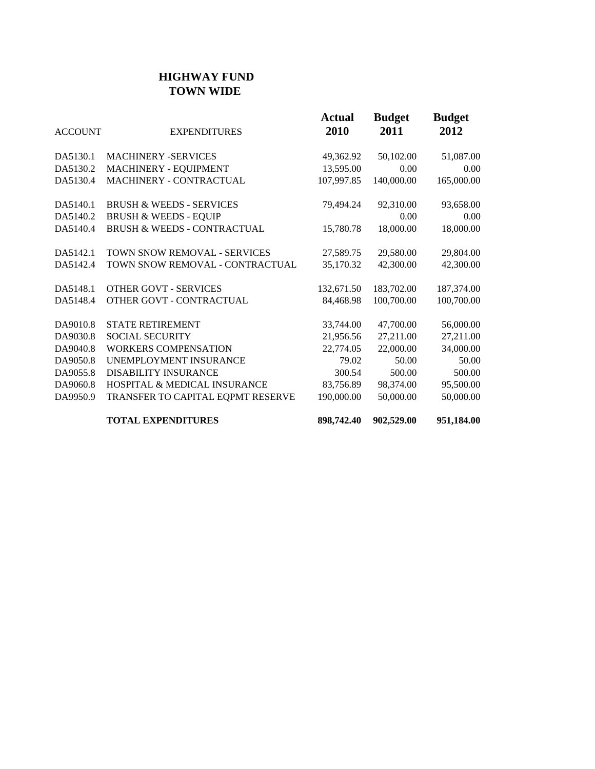## **HIGHWAY FUND TOWN WIDE**

| <b>ACCOUNT</b> | <b>EXPENDITURES</b>                     | <b>Actual</b><br>2010 | <b>Budget</b><br>2011 | <b>Budget</b><br>2012 |
|----------------|-----------------------------------------|-----------------------|-----------------------|-----------------------|
| DA5130.1       | <b>MACHINERY -SERVICES</b>              | 49,362.92             | 50,102.00             | 51,087.00             |
| DA5130.2       | MACHINERY - EQUIPMENT                   | 13,595.00             | 0.00                  | 0.00                  |
| DA5130.4       | MACHINERY - CONTRACTUAL                 | 107,997.85            | 140,000.00            | 165,000.00            |
| DA5140.1       | <b>BRUSH &amp; WEEDS - SERVICES</b>     | 79,494.24             | 92,310.00             | 93,658.00             |
| DA5140.2       | <b>BRUSH &amp; WEEDS - EQUIP</b>        |                       | 0.00                  | 0.00                  |
| DA5140.4       | <b>BRUSH &amp; WEEDS - CONTRACTUAL</b>  | 15,780.78             | 18,000.00             | 18,000.00             |
| DA5142.1       | TOWN SNOW REMOVAL - SERVICES            | 27,589.75             | 29,580.00             | 29,804.00             |
| DA5142.4       | TOWN SNOW REMOVAL - CONTRACTUAL         | 35,170.32             | 42,300.00             | 42,300.00             |
| DA5148.1       | <b>OTHER GOVT - SERVICES</b>            | 132,671.50            | 183,702.00            | 187,374.00            |
| DA5148.4       | OTHER GOVT - CONTRACTUAL                | 84,468.98             | 100,700.00            | 100,700.00            |
| DA9010.8       | <b>STATE RETIREMENT</b>                 | 33,744.00             | 47,700.00             | 56,000.00             |
| DA9030.8       | <b>SOCIAL SECURITY</b>                  | 21,956.56             | 27,211.00             | 27,211.00             |
| DA9040.8       | <b>WORKERS COMPENSATION</b>             | 22,774.05             | 22,000.00             | 34,000.00             |
| DA9050.8       | UNEMPLOYMENT INSURANCE                  | 79.02                 | 50.00                 | 50.00                 |
| DA9055.8       | <b>DISABILITY INSURANCE</b>             | 300.54                | 500.00                | 500.00                |
| DA9060.8       | <b>HOSPITAL &amp; MEDICAL INSURANCE</b> | 83,756.89             | 98,374.00             | 95,500.00             |
| DA9950.9       | TRANSFER TO CAPITAL EQPMT RESERVE       | 190,000.00            | 50,000.00             | 50,000.00             |
|                | <b>TOTAL EXPENDITURES</b>               | 898,742.40            | 902,529.00            | 951,184.00            |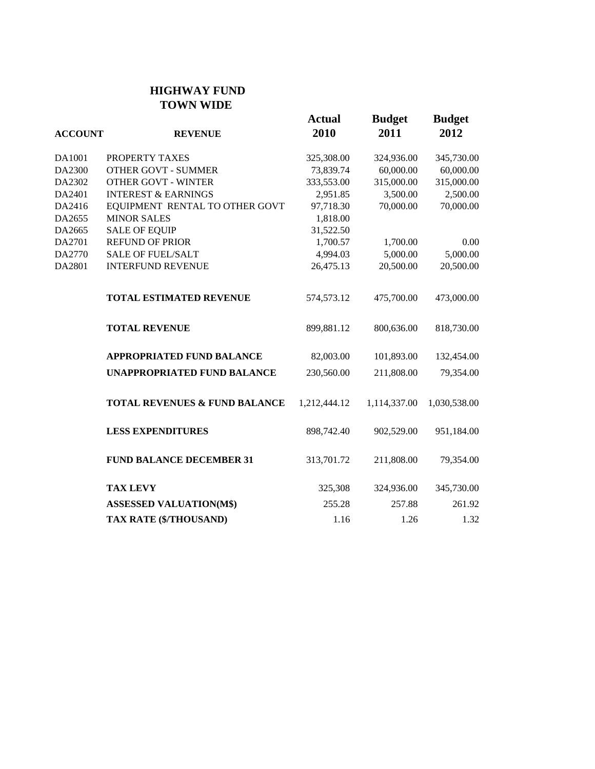#### **HIGHWAY FUND TOWN WIDE**

| <b>ACCOUNT</b>                     | <b>REVENUE</b>                           | <b>Actual</b><br>2010 | <b>Budget</b><br>2011 | <b>Budget</b><br>2012 |
|------------------------------------|------------------------------------------|-----------------------|-----------------------|-----------------------|
| DA1001                             | PROPERTY TAXES                           | 325,308.00            | 324,936.00            | 345,730.00            |
| DA2300                             | <b>OTHER GOVT - SUMMER</b>               | 73,839.74             | 60,000.00             | 60,000.00             |
| DA2302                             | <b>OTHER GOVT - WINTER</b>               | 333,553.00            | 315,000.00            | 315,000.00            |
| DA2401                             | <b>INTEREST &amp; EARNINGS</b>           | 2,951.85              | 3,500.00              | 2,500.00              |
| DA2416                             | EQUIPMENT RENTAL TO OTHER GOVT           | 97,718.30             | 70,000.00             | 70,000.00             |
| DA2655                             | <b>MINOR SALES</b>                       | 1,818.00              |                       |                       |
| DA2665                             | <b>SALE OF EQUIP</b>                     | 31,522.50             |                       |                       |
| DA2701                             | <b>REFUND OF PRIOR</b>                   | 1,700.57              | 1,700.00              | 0.00                  |
| DA2770                             | <b>SALE OF FUEL/SALT</b>                 | 4,994.03              | 5,000.00              | 5,000.00              |
| DA2801                             | <b>INTERFUND REVENUE</b>                 | 26,475.13             | 20,500.00             | 20,500.00             |
|                                    | <b>TOTAL ESTIMATED REVENUE</b>           | 574,573.12            | 475,700.00            | 473,000.00            |
|                                    | <b>TOTAL REVENUE</b>                     | 899,881.12            | 800,636.00            | 818,730.00            |
|                                    | <b>APPROPRIATED FUND BALANCE</b>         | 82,003.00             | 101,893.00            | 132,454.00            |
| <b>UNAPPROPRIATED FUND BALANCE</b> |                                          | 230,560.00            | 211,808.00            | 79,354.00             |
|                                    | <b>TOTAL REVENUES &amp; FUND BALANCE</b> | 1,212,444.12          | 1,114,337.00          | 1,030,538.00          |
|                                    | <b>LESS EXPENDITURES</b>                 | 898,742.40            | 902,529.00            | 951,184.00            |
|                                    | <b>FUND BALANCE DECEMBER 31</b>          | 313,701.72            | 211,808.00            | 79,354.00             |
|                                    | <b>TAX LEVY</b>                          | 325,308               | 324,936.00            | 345,730.00            |
|                                    | <b>ASSESSED VALUATION(M\$)</b>           | 255.28                | 257.88                | 261.92                |
|                                    | TAX RATE (\$/THOUSAND)                   | 1.16                  | 1.26                  | 1.32                  |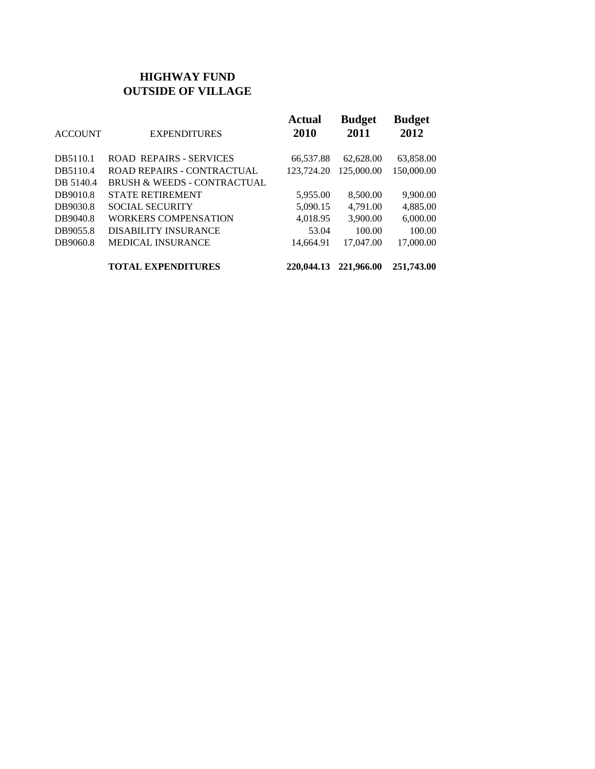## **HIGHWAY FUND OUTSIDE OF VILLAGE**

| <b>ACCOUNT</b> | <b>EXPENDITURES</b>                    | <b>Actual</b><br>2010 | <b>Budget</b><br>2011 | <b>Budget</b><br>2012 |
|----------------|----------------------------------------|-----------------------|-----------------------|-----------------------|
| DB5110.1       | <b>ROAD REPAIRS - SERVICES</b>         | 66,537.88             | 62,628.00             | 63,858.00             |
| DB5110.4       | <b>ROAD REPAIRS - CONTRACTUAL</b>      | 123,724.20            | 125,000.00            | 150,000.00            |
| DB 5140.4      | <b>BRUSH &amp; WEEDS - CONTRACTUAL</b> |                       |                       |                       |
| DB9010.8       | <b>STATE RETIREMENT</b>                | 5,955.00              | 8,500.00              | 9,900.00              |
| DB9030.8       | <b>SOCIAL SECURITY</b>                 | 5,090.15              | 4.791.00              | 4,885.00              |
| DB9040.8       | <b>WORKERS COMPENSATION</b>            | 4,018.95              | 3,900.00              | 6,000.00              |
| DB9055.8       | <b>DISABILITY INSURANCE</b>            | 53.04                 | 100.00                | 100.00                |
| DB9060.8       | <b>MEDICAL INSURANCE</b>               | 14,664.91             | 17.047.00             | 17,000.00             |
|                | <b>TOTAL EXPENDITURES</b>              | 220,044.13            | 221,966.00            | 251,743.00            |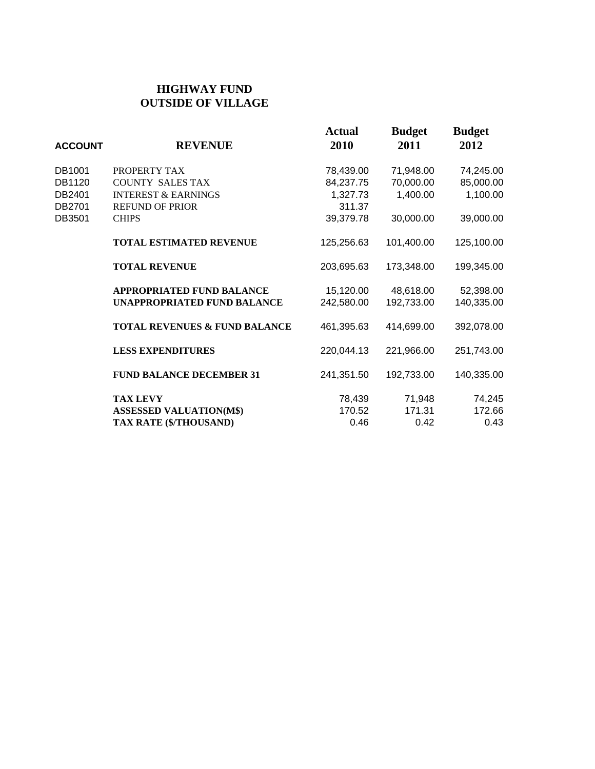#### **HIGHWAY FUND OUTSIDE OF VILLAGE**

| <b>ACCOUNT</b> | <b>REVENUE</b>                           | <b>Actual</b><br>2010 | <b>Budget</b><br>2011 | <b>Budget</b><br>2012 |
|----------------|------------------------------------------|-----------------------|-----------------------|-----------------------|
| DB1001         | PROPERTY TAX                             | 78,439.00             | 71,948.00             | 74,245.00             |
| DB1120         | <b>COUNTY SALES TAX</b>                  | 84,237.75             | 70,000.00             | 85,000.00             |
| DB2401         | <b>INTEREST &amp; EARNINGS</b>           | 1,327.73              | 1,400.00              | 1,100.00              |
| DB2701         | <b>REFUND OF PRIOR</b>                   | 311.37                |                       |                       |
| DB3501         | <b>CHIPS</b>                             | 39,379.78             | 30,000.00             | 39,000.00             |
|                | <b>TOTAL ESTIMATED REVENUE</b>           | 125,256.63            | 101,400.00            | 125,100.00            |
|                | <b>TOTAL REVENUE</b>                     | 203,695.63            | 173,348.00            | 199,345.00            |
|                | <b>APPROPRIATED FUND BALANCE</b>         | 15,120.00             | 48,618.00             | 52,398.00             |
|                | <b>UNAPPROPRIATED FUND BALANCE</b>       | 242,580.00            | 192,733.00            | 140,335.00            |
|                | <b>TOTAL REVENUES &amp; FUND BALANCE</b> | 461,395.63            | 414,699.00            | 392,078.00            |
|                | <b>LESS EXPENDITURES</b>                 | 220,044.13            | 221,966.00            | 251,743.00            |
|                | <b>FUND BALANCE DECEMBER 31</b>          | 241,351.50            | 192,733.00            | 140,335.00            |
|                | <b>TAX LEVY</b>                          | 78,439                | 71,948                | 74,245                |
|                | <b>ASSESSED VALUATION(M\$)</b>           | 170.52                | 171.31                | 172.66                |
|                | TAX RATE (\$/THOUSAND)                   | 0.46                  | 0.42                  | 0.43                  |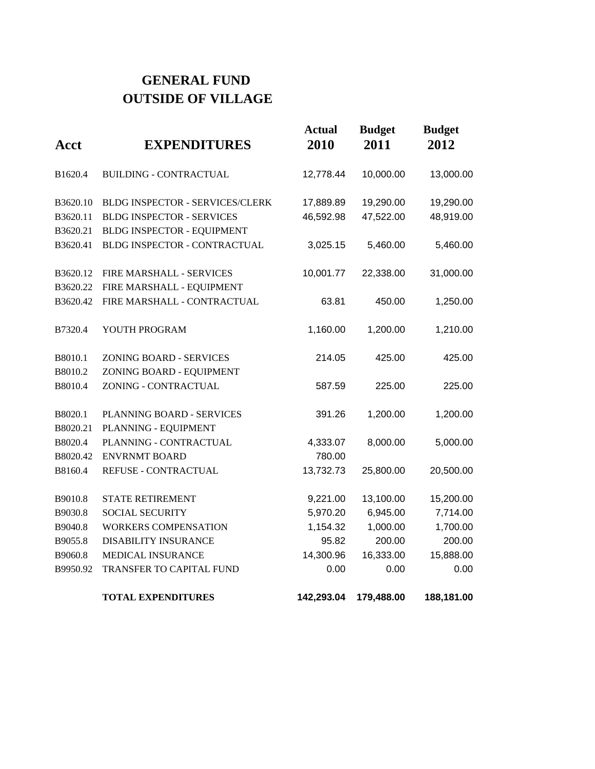# **GENERAL FUND OUTSIDE OF VILLAGE**

| Acct     | <b>EXPENDITURES</b>              | <b>Actual</b><br>2010 | <b>Budget</b><br>2011 | <b>Budget</b><br>2012 |
|----------|----------------------------------|-----------------------|-----------------------|-----------------------|
| B1620.4  | <b>BUILDING - CONTRACTUAL</b>    | 12,778.44             | 10,000.00             | 13,000.00             |
| B3620.10 | BLDG INSPECTOR - SERVICES/CLERK  | 17,889.89             | 19,290.00             | 19,290.00             |
| B3620.11 | <b>BLDG INSPECTOR - SERVICES</b> | 46,592.98             | 47,522.00             | 48,919.00             |
| B3620.21 | BLDG INSPECTOR - EQUIPMENT       |                       |                       |                       |
| B3620.41 | BLDG INSPECTOR - CONTRACTUAL     | 3,025.15              | 5,460.00              | 5,460.00              |
| B3620.12 | FIRE MARSHALL - SERVICES         | 10,001.77             | 22,338.00             | 31,000.00             |
| B3620.22 | FIRE MARSHALL - EQUIPMENT        |                       |                       |                       |
| B3620.42 | FIRE MARSHALL - CONTRACTUAL      | 63.81                 | 450.00                | 1,250.00              |
| B7320.4  | YOUTH PROGRAM                    | 1,160.00              | 1,200.00              | 1,210.00              |
| B8010.1  | <b>ZONING BOARD - SERVICES</b>   | 214.05                | 425.00                | 425.00                |
| B8010.2  | ZONING BOARD - EQUIPMENT         |                       |                       |                       |
| B8010.4  | ZONING - CONTRACTUAL             | 587.59                | 225.00                | 225.00                |
| B8020.1  | PLANNING BOARD - SERVICES        | 391.26                | 1,200.00              | 1,200.00              |
| B8020.21 | PLANNING - EQUIPMENT             |                       |                       |                       |
| B8020.4  | PLANNING - CONTRACTUAL           | 4,333.07              | 8,000.00              | 5,000.00              |
| B8020.42 | <b>ENVRNMT BOARD</b>             | 780.00                |                       |                       |
| B8160.4  | REFUSE - CONTRACTUAL             | 13,732.73             | 25,800.00             | 20,500.00             |
| B9010.8  | <b>STATE RETIREMENT</b>          | 9,221.00              | 13,100.00             | 15,200.00             |
| B9030.8  | <b>SOCIAL SECURITY</b>           | 5,970.20              | 6,945.00              | 7,714.00              |
| B9040.8  | <b>WORKERS COMPENSATION</b>      | 1,154.32              | 1,000.00              | 1,700.00              |
| B9055.8  | <b>DISABILITY INSURANCE</b>      | 95.82                 | 200.00                | 200.00                |
| B9060.8  | MEDICAL INSURANCE                | 14,300.96             | 16,333.00             | 15,888.00             |
| B9950.92 | TRANSFER TO CAPITAL FUND         | 0.00                  | 0.00                  | 0.00                  |
|          | <b>TOTAL EXPENDITURES</b>        | 142,293.04            | 179,488.00            | 188,181.00            |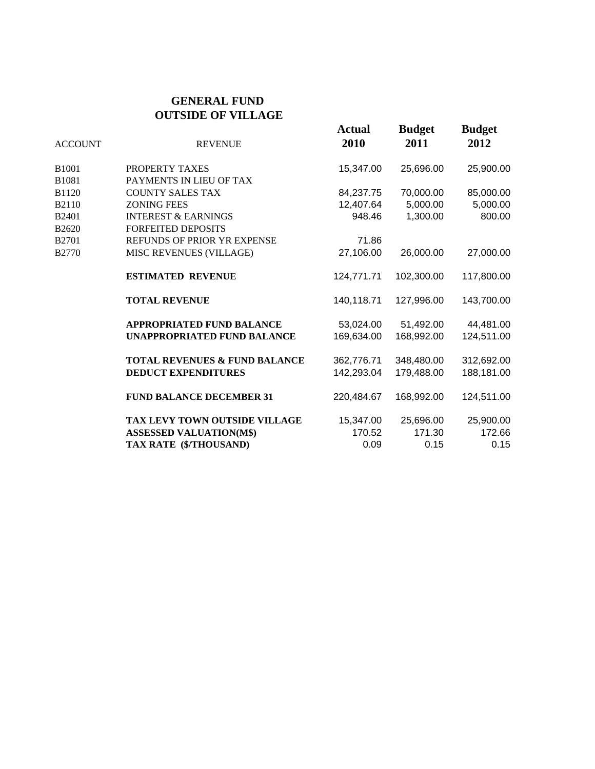#### **GENERAL FUND OUTSIDE OF VILLAGE**

| <b>REVENUE</b>                           | <b>Actual</b><br>2010 | <b>Budget</b><br>2011 | <b>Budget</b><br>2012 |
|------------------------------------------|-----------------------|-----------------------|-----------------------|
| PROPERTY TAXES                           | 15,347.00             | 25,696.00             | 25,900.00             |
| PAYMENTS IN LIEU OF TAX                  |                       |                       |                       |
| <b>COUNTY SALES TAX</b>                  | 84,237.75             | 70,000.00             | 85,000.00             |
| <b>ZONING FEES</b>                       | 12,407.64             | 5,000.00              | 5,000.00              |
| <b>INTEREST &amp; EARNINGS</b>           | 948.46                | 1,300.00              | 800.00                |
| <b>FORFEITED DEPOSITS</b>                |                       |                       |                       |
| REFUNDS OF PRIOR YR EXPENSE              | 71.86                 |                       |                       |
| MISC REVENUES (VILLAGE)                  | 27,106.00             | 26,000.00             | 27,000.00             |
| <b>ESTIMATED REVENUE</b>                 | 124,771.71            | 102,300.00            | 117,800.00            |
| <b>TOTAL REVENUE</b>                     | 140,118.71            | 127,996.00            | 143,700.00            |
| <b>APPROPRIATED FUND BALANCE</b>         | 53,024.00             | 51,492.00             | 44,481.00             |
| <b>UNAPPROPRIATED FUND BALANCE</b>       | 169,634.00            | 168,992.00            | 124,511.00            |
| <b>TOTAL REVENUES &amp; FUND BALANCE</b> | 362,776.71            | 348,480.00            | 312,692.00            |
| <b>DEDUCT EXPENDITURES</b>               | 142,293.04            | 179,488.00            | 188,181.00            |
| <b>FUND BALANCE DECEMBER 31</b>          | 220,484.67            | 168,992.00            | 124,511.00            |
| TAX LEVY TOWN OUTSIDE VILLAGE            | 15,347.00             | 25,696.00             | 25,900.00             |
| <b>ASSESSED VALUATION(M\$)</b>           | 170.52                | 171.30                | 172.66                |
| TAX RATE (\$/THOUSAND)                   | 0.09                  | 0.15                  | 0.15                  |
|                                          |                       |                       |                       |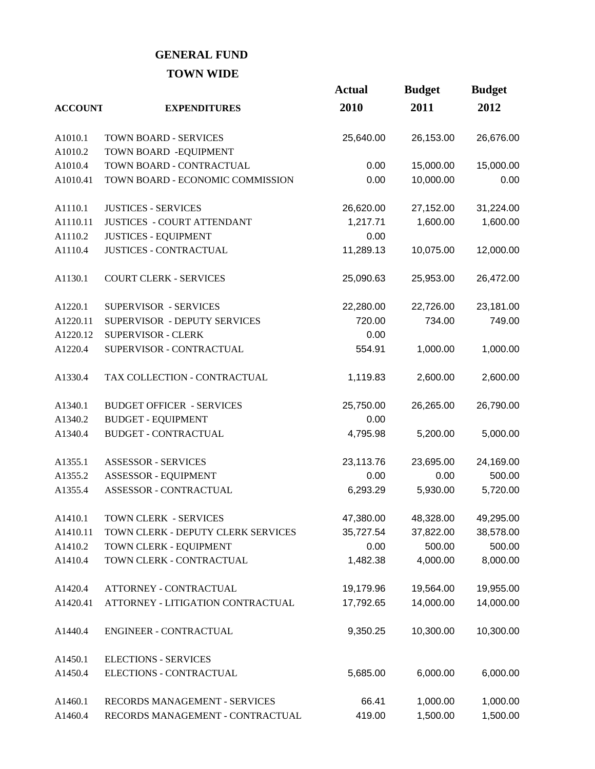## **GENERAL FUND TOWN WIDE**

|                |                                    | <b>Actual</b> | <b>Budget</b> | <b>Budget</b> |
|----------------|------------------------------------|---------------|---------------|---------------|
| <b>ACCOUNT</b> | <b>EXPENDITURES</b>                | 2010          | 2011          | 2012          |
| A1010.1        | <b>TOWN BOARD - SERVICES</b>       | 25,640.00     | 26,153.00     | 26,676.00     |
| A1010.2        | TOWN BOARD - EQUIPMENT             |               |               |               |
| A1010.4        | TOWN BOARD - CONTRACTUAL           | 0.00          | 15,000.00     | 15,000.00     |
| A1010.41       | TOWN BOARD - ECONOMIC COMMISSION   | 0.00          | 10,000.00     | 0.00          |
| A1110.1        | <b>JUSTICES - SERVICES</b>         | 26,620.00     | 27,152.00     | 31,224.00     |
| A1110.11       | <b>JUSTICES - COURT ATTENDANT</b>  | 1,217.71      | 1,600.00      | 1,600.00      |
| A1110.2        | <b>JUSTICES - EQUIPMENT</b>        | 0.00          |               |               |
| A1110.4        | <b>JUSTICES - CONTRACTUAL</b>      | 11,289.13     | 10,075.00     | 12,000.00     |
| A1130.1        | <b>COURT CLERK - SERVICES</b>      | 25,090.63     | 25,953.00     | 26,472.00     |
| A1220.1        | SUPERVISOR - SERVICES              | 22,280.00     | 22,726.00     | 23,181.00     |
| A1220.11       | SUPERVISOR - DEPUTY SERVICES       | 720.00        | 734.00        | 749.00        |
| A1220.12       | <b>SUPERVISOR - CLERK</b>          | 0.00          |               |               |
| A1220.4        | SUPERVISOR - CONTRACTUAL           | 554.91        | 1,000.00      | 1,000.00      |
| A1330.4        | TAX COLLECTION - CONTRACTUAL       | 1,119.83      | 2,600.00      | 2,600.00      |
| A1340.1        | <b>BUDGET OFFICER - SERVICES</b>   | 25,750.00     | 26,265.00     | 26,790.00     |
| A1340.2        | <b>BUDGET - EQUIPMENT</b>          | 0.00          |               |               |
| A1340.4        | <b>BUDGET - CONTRACTUAL</b>        | 4,795.98      | 5,200.00      | 5,000.00      |
| A1355.1        | <b>ASSESSOR - SERVICES</b>         | 23,113.76     | 23,695.00     | 24,169.00     |
| A1355.2        | ASSESSOR - EQUIPMENT               | 0.00          | 0.00          | 500.00        |
| A1355.4        | ASSESSOR - CONTRACTUAL             | 6,293.29      | 5,930.00      | 5,720.00      |
| A1410.1        | TOWN CLERK - SERVICES              | 47,380.00     | 48,328.00     | 49,295.00     |
| A1410.11       | TOWN CLERK - DEPUTY CLERK SERVICES | 35,727.54     | 37,822.00     | 38,578.00     |
| A1410.2        | TOWN CLERK - EQUIPMENT             | 0.00          | 500.00        | 500.00        |
| A1410.4        | TOWN CLERK - CONTRACTUAL           | 1,482.38      | 4,000.00      | 8,000.00      |
| A1420.4        | ATTORNEY - CONTRACTUAL             | 19,179.96     | 19,564.00     | 19,955.00     |
| A1420.41       | ATTORNEY - LITIGATION CONTRACTUAL  | 17,792.65     | 14,000.00     | 14,000.00     |
| A1440.4        | ENGINEER - CONTRACTUAL             | 9,350.25      | 10,300.00     | 10,300.00     |
| A1450.1        | <b>ELECTIONS - SERVICES</b>        |               |               |               |
| A1450.4        | ELECTIONS - CONTRACTUAL            | 5,685.00      | 6,000.00      | 6,000.00      |
| A1460.1        | RECORDS MANAGEMENT - SERVICES      | 66.41         | 1,000.00      | 1,000.00      |
| A1460.4        | RECORDS MANAGEMENT - CONTRACTUAL   | 419.00        | 1,500.00      | 1,500.00      |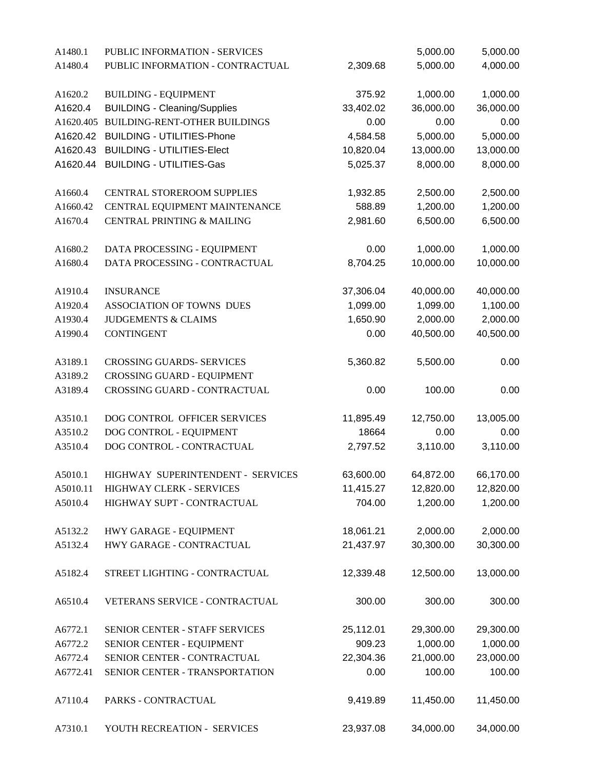| A1480.1  | PUBLIC INFORMATION - SERVICES           |           | 5,000.00  | 5,000.00  |
|----------|-----------------------------------------|-----------|-----------|-----------|
| A1480.4  | PUBLIC INFORMATION - CONTRACTUAL        | 2,309.68  | 5,000.00  | 4,000.00  |
|          |                                         |           |           |           |
| A1620.2  | <b>BUILDING - EQUIPMENT</b>             | 375.92    | 1,000.00  | 1,000.00  |
| A1620.4  | <b>BUILDING - Cleaning/Supplies</b>     | 33,402.02 | 36,000.00 | 36,000.00 |
|          | A1620.405 BUILDING-RENT-OTHER BUILDINGS | 0.00      | 0.00      | 0.00      |
| A1620.42 | <b>BUILDING - UTILITIES-Phone</b>       | 4,584.58  | 5,000.00  | 5,000.00  |
| A1620.43 | <b>BUILDING - UTILITIES-Elect</b>       | 10,820.04 | 13,000.00 | 13,000.00 |
| A1620.44 | <b>BUILDING - UTILITIES-Gas</b>         | 5,025.37  | 8,000.00  | 8,000.00  |
| A1660.4  | CENTRAL STOREROOM SUPPLIES              | 1,932.85  | 2,500.00  | 2,500.00  |
| A1660.42 | CENTRAL EQUIPMENT MAINTENANCE           | 588.89    | 1,200.00  | 1,200.00  |
| A1670.4  | CENTRAL PRINTING & MAILING              | 2,981.60  | 6,500.00  | 6,500.00  |
| A1680.2  | DATA PROCESSING - EQUIPMENT             | 0.00      | 1,000.00  | 1,000.00  |
| A1680.4  | DATA PROCESSING - CONTRACTUAL           | 8,704.25  | 10,000.00 | 10,000.00 |
| A1910.4  | <b>INSURANCE</b>                        | 37,306.04 | 40,000.00 | 40,000.00 |
| A1920.4  | ASSOCIATION OF TOWNS DUES               | 1,099.00  | 1,099.00  | 1,100.00  |
| A1930.4  | <b>JUDGEMENTS &amp; CLAIMS</b>          | 1,650.90  | 2,000.00  | 2,000.00  |
| A1990.4  | <b>CONTINGENT</b>                       | 0.00      | 40,500.00 | 40,500.00 |
| A3189.1  | <b>CROSSING GUARDS- SERVICES</b>        | 5,360.82  | 5,500.00  | 0.00      |
| A3189.2  | <b>CROSSING GUARD - EQUIPMENT</b>       |           |           |           |
| A3189.4  | CROSSING GUARD - CONTRACTUAL            | 0.00      | 100.00    | 0.00      |
| A3510.1  | DOG CONTROL OFFICER SERVICES            | 11,895.49 | 12,750.00 | 13,005.00 |
| A3510.2  | DOG CONTROL - EQUIPMENT                 | 18664     | 0.00      | 0.00      |
|          | DOG CONTROL - CONTRACTUAL               |           |           |           |
| A3510.4  |                                         | 2,797.52  | 3,110.00  | 3,110.00  |
| A5010.1  | HIGHWAY SUPERINTENDENT - SERVICES       | 63,600.00 | 64,872.00 | 66,170.00 |
| A5010.11 | HIGHWAY CLERK - SERVICES                | 11,415.27 | 12,820.00 | 12,820.00 |
| A5010.4  | HIGHWAY SUPT - CONTRACTUAL              | 704.00    | 1,200.00  | 1,200.00  |
| A5132.2  | HWY GARAGE - EQUIPMENT                  | 18,061.21 | 2,000.00  | 2,000.00  |
| A5132.4  | HWY GARAGE - CONTRACTUAL                | 21,437.97 | 30,300.00 | 30,300.00 |
| A5182.4  | STREET LIGHTING - CONTRACTUAL           | 12,339.48 | 12,500.00 | 13,000.00 |
| A6510.4  | VETERANS SERVICE - CONTRACTUAL          | 300.00    | 300.00    | 300.00    |
| A6772.1  | SENIOR CENTER - STAFF SERVICES          | 25,112.01 | 29,300.00 | 29,300.00 |
| A6772.2  | SENIOR CENTER - EQUIPMENT               | 909.23    | 1,000.00  | 1,000.00  |
| A6772.4  | SENIOR CENTER - CONTRACTUAL             | 22,304.36 | 21,000.00 | 23,000.00 |
| A6772.41 | SENIOR CENTER - TRANSPORTATION          | 0.00      | 100.00    | 100.00    |
| A7110.4  | PARKS - CONTRACTUAL                     | 9,419.89  | 11,450.00 | 11,450.00 |
| A7310.1  | YOUTH RECREATION - SERVICES             | 23,937.08 | 34,000.00 | 34,000.00 |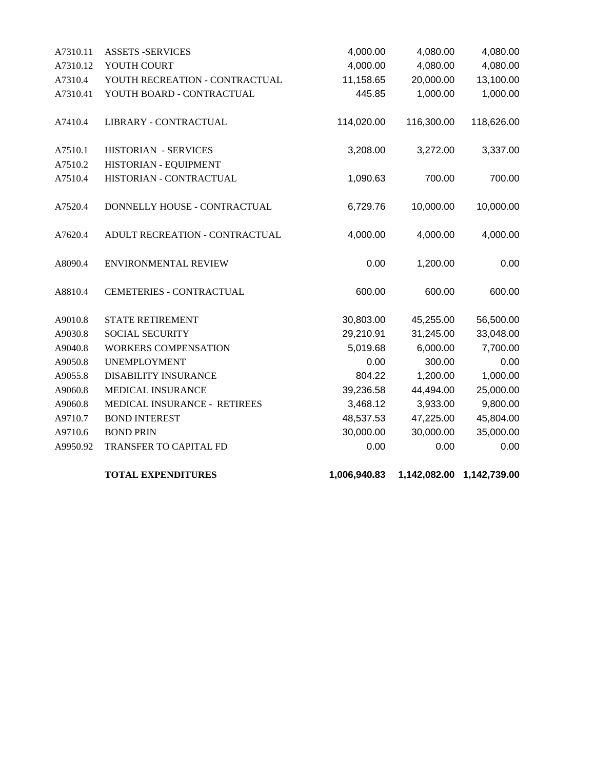| A7310.11 | <b>ASSETS -SERVICES</b>        | 4,000.00   | 4,080.00   | 4,080.00   |
|----------|--------------------------------|------------|------------|------------|
| A7310.12 | YOUTH COURT                    | 4,000.00   | 4,080.00   | 4,080.00   |
| A7310.4  | YOUTH RECREATION - CONTRACTUAL | 11,158.65  | 20,000.00  | 13,100.00  |
| A7310.41 | YOUTH BOARD - CONTRACTUAL      | 445.85     | 1,000.00   | 1,000.00   |
| A7410.4  | LIBRARY - CONTRACTUAL          | 114,020.00 | 116,300.00 | 118,626.00 |
| A7510.1  | HISTORIAN - SERVICES           | 3,208.00   | 3,272.00   | 3,337.00   |
| A7510.2  | HISTORIAN - EQUIPMENT          |            |            |            |
| A7510.4  | HISTORIAN - CONTRACTUAL        | 1,090.63   | 700.00     | 700.00     |
| A7520.4  | DONNELLY HOUSE - CONTRACTUAL   | 6,729.76   | 10,000.00  | 10,000.00  |
| A7620.4  | ADULT RECREATION - CONTRACTUAL | 4,000.00   | 4,000.00   | 4,000.00   |
| A8090.4  | ENVIRONMENTAL REVIEW           | 0.00       | 1,200.00   | 0.00       |
| A8810.4  | CEMETERIES - CONTRACTUAL       | 600.00     | 600.00     | 600.00     |
| A9010.8  | <b>STATE RETIREMENT</b>        | 30,803.00  | 45,255.00  | 56,500.00  |
| A9030.8  | <b>SOCIAL SECURITY</b>         | 29,210.91  | 31,245.00  | 33,048.00  |
| A9040.8  | <b>WORKERS COMPENSATION</b>    | 5,019.68   | 6,000.00   | 7,700.00   |
| A9050.8  | <b>UNEMPLOYMENT</b>            | 0.00       | 300.00     | 0.00       |
| A9055.8  | <b>DISABILITY INSURANCE</b>    | 804.22     | 1,200.00   | 1,000.00   |
| A9060.8  | MEDICAL INSURANCE              | 39,236.58  | 44,494.00  | 25,000.00  |
| A9060.8  | MEDICAL INSURANCE - RETIREES   | 3,468.12   | 3,933.00   | 9,800.00   |
| A9710.7  | <b>BOND INTEREST</b>           | 48,537.53  | 47,225.00  | 45,804.00  |
| A9710.6  | <b>BOND PRIN</b>               | 30,000.00  | 30,000.00  | 35,000.00  |
| A9950.92 | TRANSFER TO CAPITAL FD         | 0.00       | 0.00       | 0.00       |
|          |                                |            |            |            |

**TOTAL EXPENDITURES 1,006,940.83 1,142,082.00 1,142,739.00**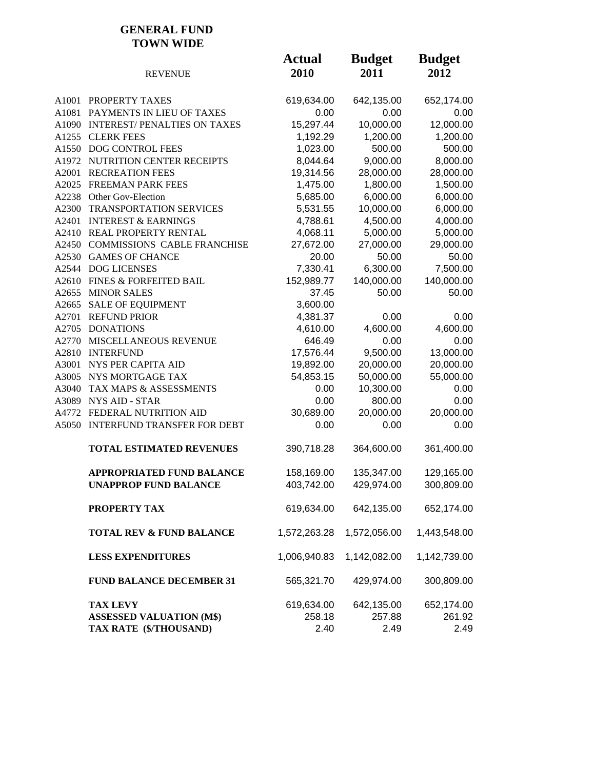#### **GENERAL FUND TOWN WIDE**

|       | <b>REVENUE</b>                      | <b>Actual</b><br>2010 | <b>Budget</b><br>2011 | <b>Budget</b><br>2012 |
|-------|-------------------------------------|-----------------------|-----------------------|-----------------------|
| A1001 | PROPERTY TAXES                      | 619,634.00            | 642,135.00            | 652,174.00            |
| A1081 | PAYMENTS IN LIEU OF TAXES           | 0.00                  | 0.00                  | 0.00                  |
|       | A1090 INTEREST/ PENALTIES ON TAXES  | 15,297.44             | 10,000.00             | 12,000.00             |
|       | A1255 CLERK FEES                    | 1,192.29              | 1,200.00              | 1,200.00              |
|       | A1550 DOG CONTROL FEES              | 1,023.00              | 500.00                | 500.00                |
|       | A1972 NUTRITION CENTER RECEIPTS     | 8,044.64              | 9,000.00              | 8,000.00              |
| A2001 | <b>RECREATION FEES</b>              | 19,314.56             | 28,000.00             | 28,000.00             |
|       | A2025 FREEMAN PARK FEES             | 1,475.00              | 1,800.00              | 1,500.00              |
|       | A2238 Other Gov-Election            | 5,685.00              | 6,000.00              | 6,000.00              |
|       | A2300 TRANSPORTATION SERVICES       | 5,531.55              | 10,000.00             | 6,000.00              |
| A2401 | <b>INTEREST &amp; EARNINGS</b>      | 4,788.61              | 4,500.00              | 4,000.00              |
|       | A2410 REAL PROPERTY RENTAL          | 4,068.11              | 5,000.00              | 5,000.00              |
|       | A2450 COMMISSIONS CABLE FRANCHISE   | 27,672.00             | 27,000.00             | 29,000.00             |
|       | A2530 GAMES OF CHANCE               | 20.00                 | 50.00                 | 50.00                 |
|       | A2544 DOG LICENSES                  | 7,330.41              | 6,300.00              | 7,500.00              |
|       | A2610 FINES & FORFEITED BAIL        | 152,989.77            | 140,000.00            | 140,000.00            |
| A2655 | <b>MINOR SALES</b>                  | 37.45                 | 50.00                 | 50.00                 |
| A2665 | <b>SALE OF EQUIPMENT</b>            | 3,600.00              |                       |                       |
| A2701 | <b>REFUND PRIOR</b>                 | 4,381.37              | 0.00                  | 0.00                  |
| A2705 | <b>DONATIONS</b>                    | 4,610.00              | 4,600.00              | 4,600.00              |
| A2770 | MISCELLANEOUS REVENUE               | 646.49                | 0.00                  | 0.00                  |
|       | A2810 INTERFUND                     | 17,576.44             | 9,500.00              | 13,000.00             |
| A3001 | NYS PER CAPITA AID                  | 19,892.00             | 20,000.00             | 20,000.00             |
|       | A3005 NYS MORTGAGE TAX              | 54,853.15             | 50,000.00             | 55,000.00             |
| A3040 | TAX MAPS & ASSESSMENTS              | 0.00                  | 10,300.00             | 0.00                  |
|       | A3089 NYS AID - STAR                | 0.00                  | 800.00                | 0.00                  |
|       | A4772 FEDERAL NUTRITION AID         | 30,689.00             | 20,000.00             | 20,000.00             |
|       | A5050 INTERFUND TRANSFER FOR DEBT   | 0.00                  | 0.00                  | 0.00                  |
|       | <b>TOTAL ESTIMATED REVENUES</b>     | 390,718.28            | 364,600.00            | 361,400.00            |
|       | <b>APPROPRIATED FUND BALANCE</b>    | 158,169.00            | 135,347.00            | 129,165.00            |
|       | <b>UNAPPROP FUND BALANCE</b>        | 403,742.00            | 429,974.00            | 300,809.00            |
|       | PROPERTY TAX                        | 619,634.00            | 642,135.00            | 652,174.00            |
|       | <b>TOTAL REV &amp; FUND BALANCE</b> | 1,572,263.28          | 1,572,056.00          | 1,443,548.00          |
|       | <b>LESS EXPENDITURES</b>            | 1,006,940.83          | 1,142,082.00          | 1,142,739.00          |
|       | <b>FUND BALANCE DECEMBER 31</b>     | 565,321.70            | 429,974.00            | 300,809.00            |
|       | <b>TAX LEVY</b>                     | 619,634.00            | 642,135.00            | 652,174.00            |
|       | <b>ASSESSED VALUATION (M\$)</b>     | 258.18                | 257.88                | 261.92                |
|       | TAX RATE (\$/THOUSAND)              | 2.40                  | 2.49                  | 2.49                  |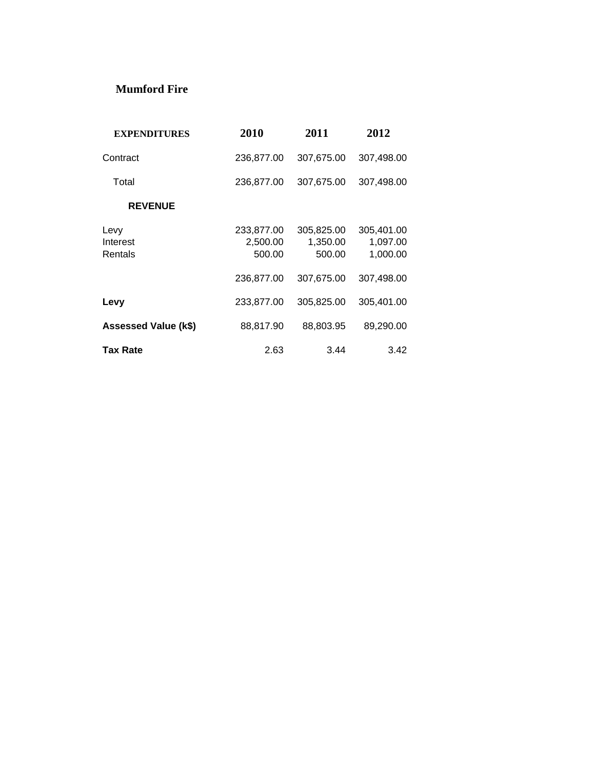#### **Mumford Fire**

| <b>EXPENDITURES</b>         | 2010                             | 2011                             | 2012                               |
|-----------------------------|----------------------------------|----------------------------------|------------------------------------|
| Contract                    | 236,877.00                       | 307,675.00                       | 307,498.00                         |
| Total                       | 236,877.00                       | 307,675.00                       | 307,498.00                         |
| <b>REVENUE</b>              |                                  |                                  |                                    |
| Levy<br>Interest<br>Rentals | 233,877.00<br>2,500.00<br>500.00 | 305,825.00<br>1,350.00<br>500.00 | 305,401.00<br>1,097.00<br>1,000.00 |
|                             | 236,877.00                       | 307,675.00                       | 307,498.00                         |
| Levy                        | 233,877.00                       | 305,825.00                       | 305,401.00                         |
| Assessed Value (k\$)        | 88,817.90                        | 88,803.95                        | 89,290.00                          |
| Tax Rate                    | 2.63                             | 3.44                             | 3.42                               |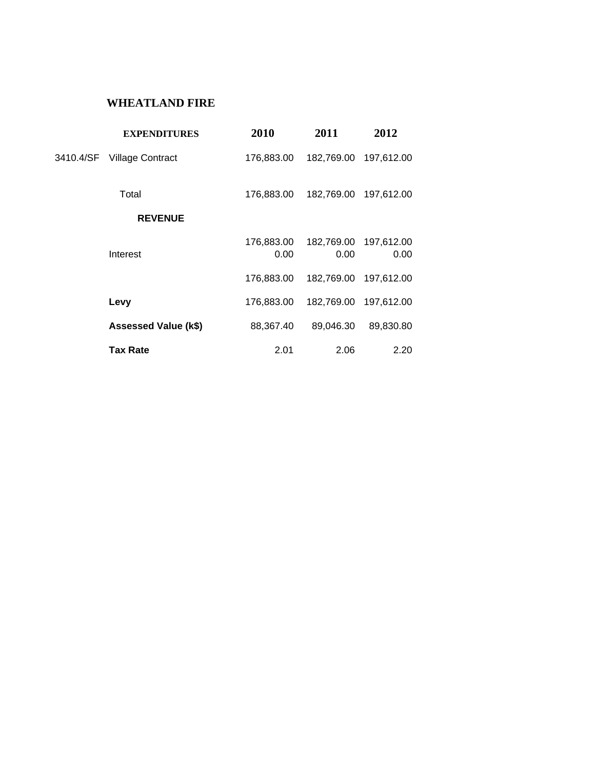#### **WHEATLAND FIRE**

| <b>EXPENDITURES</b>         | 2010               | 2011               | 2012               |
|-----------------------------|--------------------|--------------------|--------------------|
| 3410.4/SF Village Contract  | 176,883.00         | 182,769.00         | 197,612.00         |
| Total                       | 176,883.00         | 182,769.00         | 197,612.00         |
| <b>REVENUE</b>              |                    |                    |                    |
| Interest                    | 176,883.00<br>0.00 | 182,769.00<br>0.00 | 197,612.00<br>0.00 |
|                             | 176,883.00         | 182,769.00         | 197,612.00         |
| Levy                        | 176,883.00         | 182,769.00         | 197,612.00         |
| <b>Assessed Value (k\$)</b> | 88,367.40          | 89,046.30          | 89,830.80          |
| <b>Tax Rate</b>             | 2.01               | 2.06               | 2.20               |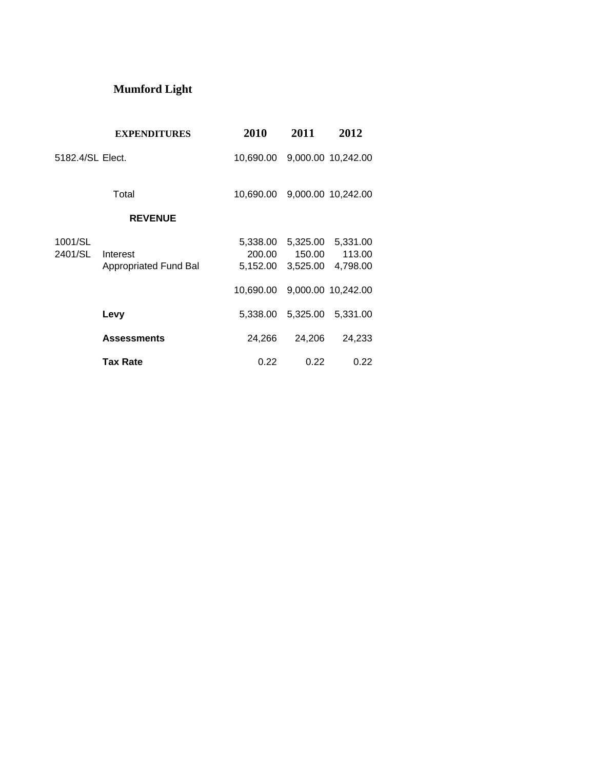# **Mumford Light**

|                    | <b>EXPENDITURES</b>               | 2010                           | 2011                           | 2012                           |
|--------------------|-----------------------------------|--------------------------------|--------------------------------|--------------------------------|
| 5182.4/SL Elect.   |                                   | 10,690.00                      |                                | 9,000.00 10,242.00             |
|                    | Total                             | 10.690.00                      |                                | 9,000.00 10,242.00             |
|                    | <b>REVENUE</b>                    |                                |                                |                                |
| 1001/SL<br>2401/SL | Interest<br>Appropriated Fund Bal | 5,338.00<br>200.00<br>5,152.00 | 5,325.00<br>150.00<br>3,525.00 | 5,331.00<br>113.00<br>4,798.00 |
|                    |                                   | 10.690.00                      |                                | 9,000.00 10,242.00             |
|                    | Levy                              | 5,338.00                       |                                | 5,325.00 5,331.00              |
|                    | <b>Assessments</b>                | 24.266                         | 24,206                         | 24,233                         |
|                    | <b>Tax Rate</b>                   | 0.22                           | 0.22                           | 0.22                           |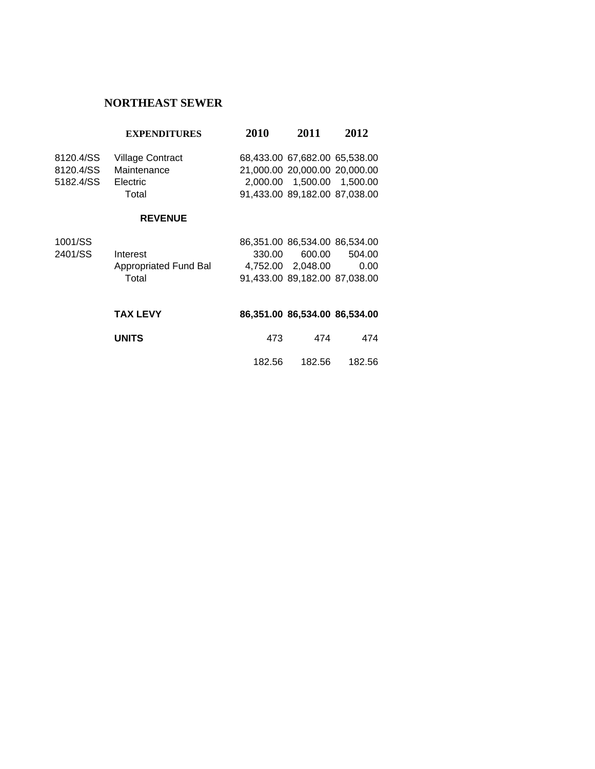### **NORTHEAST SEWER**

|           | <b>EXPENDITURES</b>     | 2010   | 2011                          | 2012   |
|-----------|-------------------------|--------|-------------------------------|--------|
| 8120.4/SS | <b>Village Contract</b> |        | 68,433.00 67,682.00 65,538.00 |        |
| 8120.4/SS | Maintenance             |        | 21,000.00 20,000.00 20,000.00 |        |
| 5182.4/SS | Electric                |        | 2,000.00 1,500.00 1,500.00    |        |
|           | Total                   |        | 91,433.00 89,182.00 87,038.00 |        |
|           | <b>REVENUE</b>          |        |                               |        |
| 1001/SS   |                         |        | 86,351.00 86,534.00 86,534.00 |        |
| 2401/SS   | Interest                | 330.00 | 600.00                        | 504.00 |
|           | Appropriated Fund Bal   |        | 4.752.00 2.048.00             | 0.00   |
|           | Total                   |        | 91,433.00 89,182.00 87,038.00 |        |
|           |                         |        |                               |        |

| <b>TAX LEVY</b> |        | 86,351.00 86,534.00 86,534.00 |        |
|-----------------|--------|-------------------------------|--------|
| <b>UNITS</b>    | 473    | 474                           | 474    |
|                 | 182.56 | 182.56                        | 182.56 |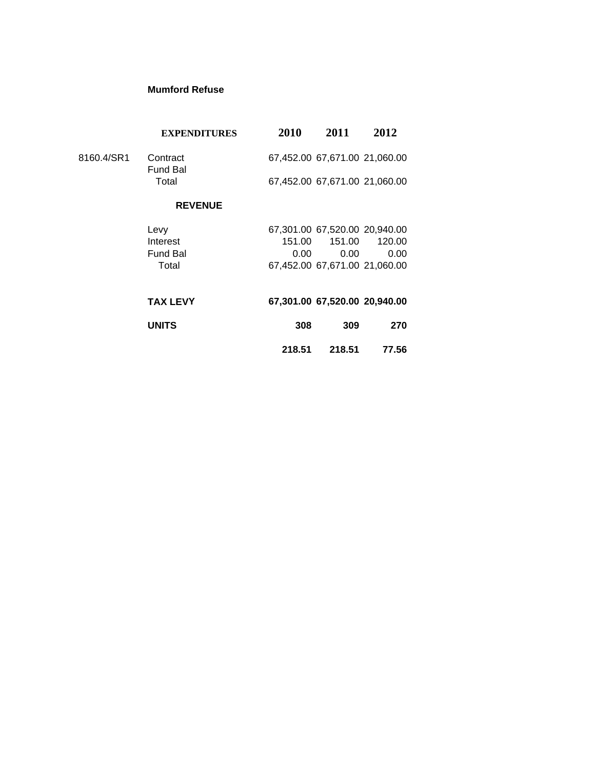#### **Mumford Refuse**

| <b>EXPENDITURES</b> | 2010            | 2011   | 2012                                                                                                                                                                        |
|---------------------|-----------------|--------|-----------------------------------------------------------------------------------------------------------------------------------------------------------------------------|
| Contract            |                 |        |                                                                                                                                                                             |
| Total               |                 |        |                                                                                                                                                                             |
| <b>REVENUE</b>      |                 |        |                                                                                                                                                                             |
| Levy                |                 |        |                                                                                                                                                                             |
| Interest            |                 | 151.00 | 120.00                                                                                                                                                                      |
| <b>Fund Bal</b>     | 0.00            | 0.00   | 0.00                                                                                                                                                                        |
| Total               |                 |        |                                                                                                                                                                             |
| <b>TAX LEVY</b>     |                 |        |                                                                                                                                                                             |
| <b>UNITS</b>        | 308             | 309    | 270                                                                                                                                                                         |
|                     | 218.51          | 218.51 | 77.56                                                                                                                                                                       |
|                     | <b>Fund Bal</b> |        | 67,452.00 67,671.00 21,060.00<br>67,452.00 67,671.00 21,060.00<br>67,301.00 67,520.00 20,940.00<br>151.00<br>67,452.00 67,671.00 21,060.00<br>67,301.00 67,520.00 20,940.00 |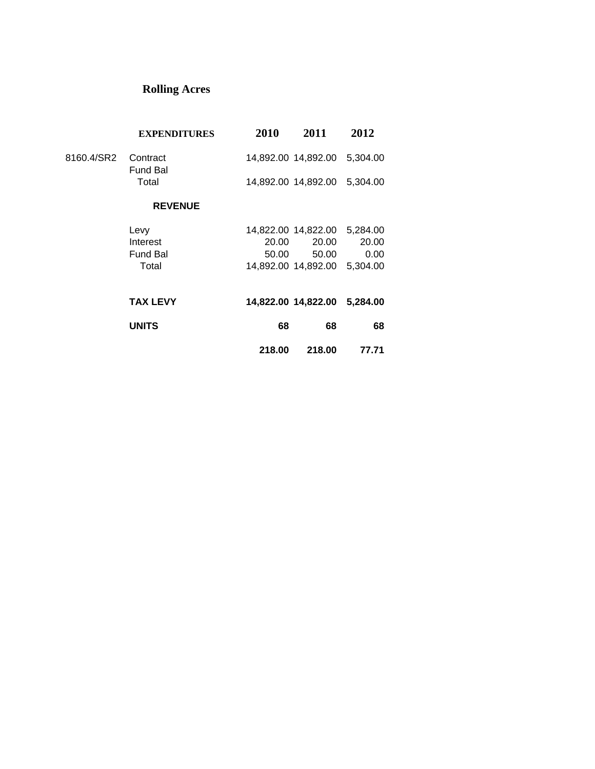# **Rolling Acres**

|            | <b>EXPENDITURES</b>         | 2010   | 2011                         | 2012     |
|------------|-----------------------------|--------|------------------------------|----------|
| 8160.4/SR2 | Contract<br><b>Fund Bal</b> |        |                              | 5,304.00 |
|            | Total                       |        | 14,892.00 14,892.00          | 5,304.00 |
|            | <b>REVENUE</b>              |        |                              |          |
|            | Levy                        |        | 14,822.00 14,822.00          | 5,284.00 |
|            | Interest                    | 20.00  | 20.00                        | 20.00    |
|            | <b>Fund Bal</b>             | 50.00  | 50.00                        | 0.00     |
|            | Total                       |        | 14,892.00 14,892.00          | 5,304.00 |
|            | <b>TAX LEVY</b>             |        | 14,822.00 14,822.00 5,284.00 |          |
|            | <b>UNITS</b>                | 68     | 68                           | 68       |
|            |                             | 218.00 | 218.00                       | 77.71    |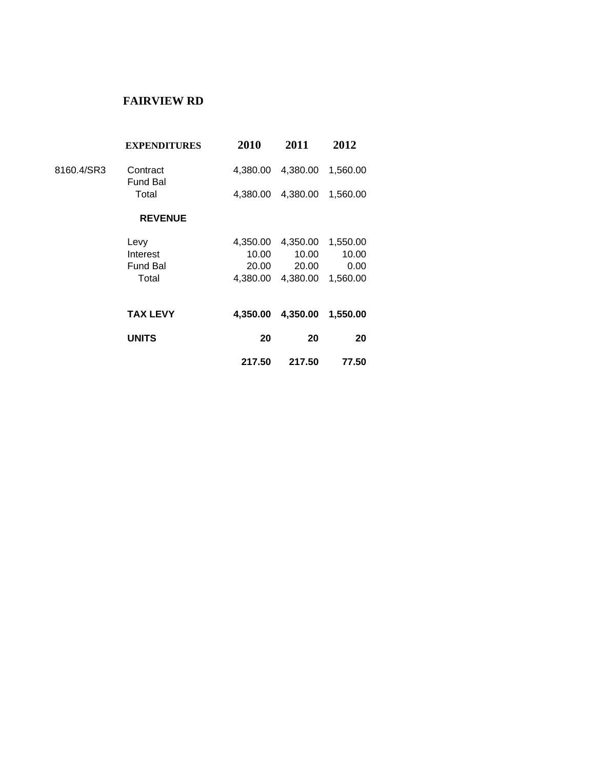#### **FAIRVIEW RD**

| <b>EXPENDITURES</b> | 2010            | 2011     | 2012     |  |
|---------------------|-----------------|----------|----------|--|
| Contract            | 4.380.00        | 4,380.00 | 1,560.00 |  |
| Total               | 4,380.00        | 4,380.00 | 1,560.00 |  |
| <b>REVENUE</b>      |                 |          |          |  |
| Levy                | 4,350.00        | 4,350.00 | 1,550.00 |  |
| Interest            | 10.00           | 10.00    | 10.00    |  |
| <b>Fund Bal</b>     | 20.00           | 20.00    | 0.00     |  |
| Total               | 4,380.00        | 4,380.00 | 1,560.00 |  |
| <b>TAX LEVY</b>     | 4,350.00        | 4,350.00 | 1,550.00 |  |
| <b>UNITS</b>        | 20              | 20       | 20       |  |
|                     | 217.50          | 217.50   | 77.50    |  |
|                     | <b>Fund Bal</b> |          |          |  |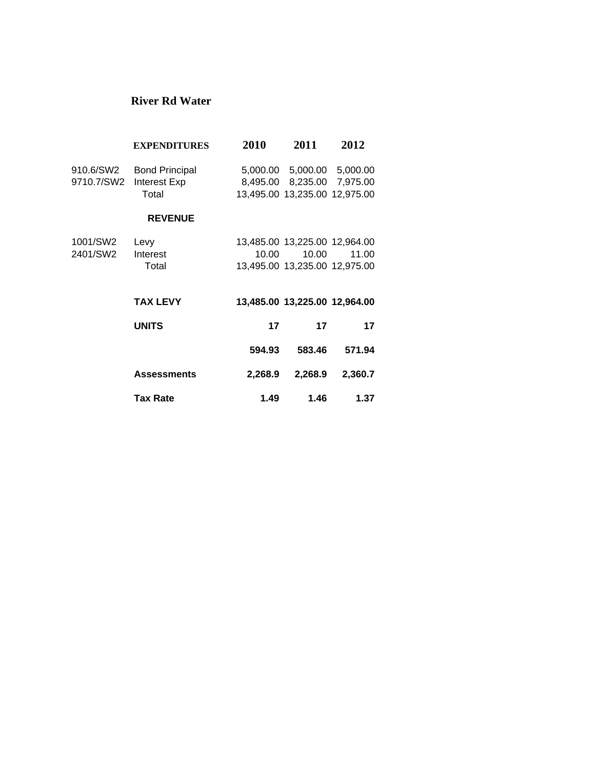#### **River Rd Water**

|                         | <b>EXPENDITURES</b>                            | 2010    | 2011                                                                             | 2012     |
|-------------------------|------------------------------------------------|---------|----------------------------------------------------------------------------------|----------|
| 910.6/SW2<br>9710.7/SW2 | <b>Bond Principal</b><br>Interest Exp<br>Total |         | 5,000.00 5,000.00<br>8,495.00 8,235.00 7,975.00<br>13,495.00 13,235.00 12,975.00 | 5,000.00 |
|                         | <b>REVENUE</b>                                 |         |                                                                                  |          |
| 1001/SW2                | Levy                                           |         | 13,485.00 13,225.00 12,964.00                                                    |          |
| 2401/SW2                | Interest                                       | 10.00   | 10.00                                                                            | 11.00    |
|                         | Total                                          |         | 13,495.00 13,235.00 12,975.00                                                    |          |
|                         |                                                |         |                                                                                  |          |
|                         | <b>TAX LEVY</b>                                |         | 13,485.00 13,225.00 12,964.00                                                    |          |
|                         | <b>UNITS</b>                                   | 17      | 17                                                                               | 17       |
|                         |                                                | 594.93  | 583.46                                                                           | 571.94   |
|                         | <b>Assessments</b>                             | 2,268.9 | 2,268.9                                                                          | 2,360.7  |
|                         | <b>Tax Rate</b>                                | 1.49    | 1.46                                                                             | 1.37     |